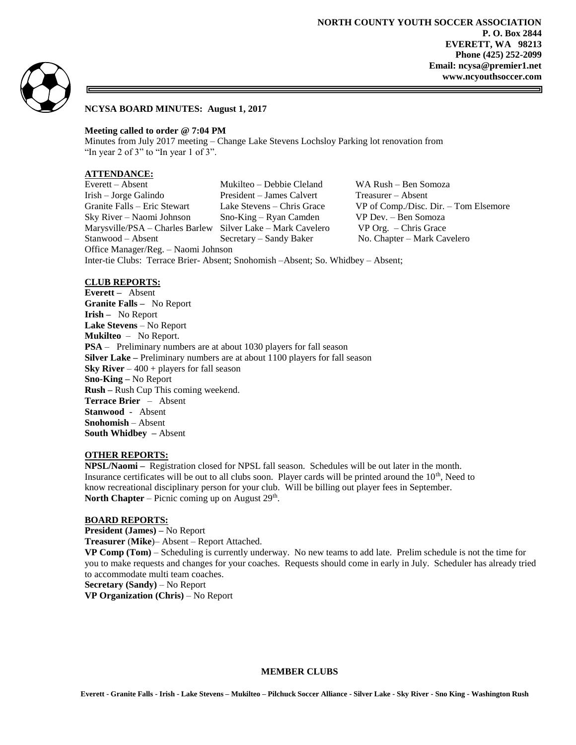

### **NCYSA BOARD MINUTES: August 1, 2017**

### **Meeting called to order @ 7:04 PM**

Minutes from July 2017 meeting – Change Lake Stevens Lochsloy Parking lot renovation from "In year 2 of 3" to "In year 1 of 3".

# **ATTENDANCE:**

Everett – Absent Mukilteo – Debbie Cleland WA Rush – Ben Somoza Irish – Jorge Galindo President – James Calvert Treasurer – Absent Granite Falls – Eric Stewart Lake Stevens – Chris Grace VP of Comp./Disc. Dir. – Tom Elsemore Sky River – Naomi Johnson Sno-King – Ryan Camden VP Dev. – Ben Somoza<br>Marysville/PSA – Charles Barlew Silver Lake – Mark Cavelero VP Org. – Chris Grace Marysville/PSA – Charles Barlew Silver Lake – Mark Cavelero Stanwood – Absent Secretary – Sandy Baker No. Chapter – Mark Cavelero Office Manager/Reg. – Naomi Johnson Inter-tie Clubs: Terrace Brier- Absent; Snohomish –Absent; So. Whidbey – Absent;

## **CLUB REPORTS:**

**Everett –** Absent **Granite Falls –** No Report **Irish –** No Report **Lake Stevens** – No Report **Mukilteo** – No Report. **PSA** – Preliminary numbers are at about 1030 players for fall season **Silver Lake –** Preliminary numbers are at about 1100 players for fall season **Sky River**  $-400 +$  players for fall season **Sno-King –** No Report **Rush –** Rush Cup This coming weekend. **Terrace Brier** – Absent **Stanwood** - Absent **Snohomish** – Absent **South Whidbey –** Absent

#### **OTHER REPORTS:**

**NPSL/Naomi –** Registration closed for NPSL fall season. Schedules will be out later in the month. Insurance certificates will be out to all clubs soon. Player cards will be printed around the  $10<sup>th</sup>$ , Need to know recreational disciplinary person for your club. Will be billing out player fees in September. **North Chapter** – Picnic coming up on August  $29<sup>th</sup>$ .

#### **BOARD REPORTS:**

**President (James) –** No Report **Treasurer** (**Mike**)– Absent – Report Attached. **VP Comp (Tom)** – Scheduling is currently underway. No new teams to add late. Prelim schedule is not the time for you to make requests and changes for your coaches. Requests should come in early in July. Scheduler has already tried to accommodate multi team coaches. **Secretary (Sandy)** – No Report

**VP Organization (Chris)** – No Report

### **MEMBER CLUBS**

**Everett - Granite Falls - Irish - Lake Stevens – Mukilteo – Pilchuck Soccer Alliance - Silver Lake - Sky River - Sno King - Washington Rush**